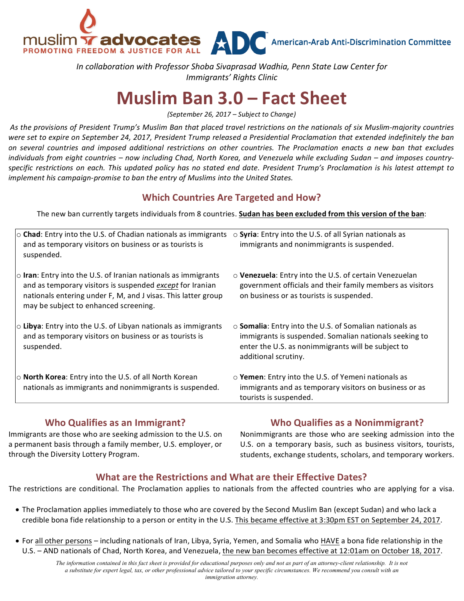NUSIM Tadvocates ADC American-Arab Anti-Discrimination Committee

In collaboration with Professor Shoba Sivaprasad Wadhia, Penn State Law Center for *Immigrants' Rights Clinic*

# **Muslim Ban 3.0 – Fact Sheet**

*(September 26, 2017 – Subject to Change)*

As the provisions of President Trump's Muslim Ban that placed travel restrictions on the nationals of six Muslim-majority countries were set to expire on September 24, 2017, President Trump released a Presidential Proclamation that extended indefinitely the ban *on several countries and imposed additional restrictions on other countries. The Proclamation enacts a new ban that excludes*  individuals from eight countries – now including Chad, North Korea, and Venezuela while excluding Sudan – and imposes country*specific restrictions on each. This updated policy has no stated end date. President Trump's Proclamation is his latest attempt to implement his campaign-promise to ban the entry of Muslims into the United States.* 

# **Which Countries Are Targeted and How?**

The new ban currently targets individuals from 8 countries. **Sudan has been excluded from this version of the ban**:

| $\circ$ Chad: Entry into the U.S. of Chadian nationals as immigrants<br>and as temporary visitors on business or as tourists is<br>suspended.                                                                                               | $\circ$ Syria: Entry into the U.S. of all Syrian nationals as<br>immigrants and nonimmigrants is suspended.                                                                                           |
|---------------------------------------------------------------------------------------------------------------------------------------------------------------------------------------------------------------------------------------------|-------------------------------------------------------------------------------------------------------------------------------------------------------------------------------------------------------|
| $\circ$ Iran: Entry into the U.S. of Iranian nationals as immigrants<br>and as temporary visitors is suspended except for Iranian<br>nationals entering under F, M, and J visas. This latter group<br>may be subject to enhanced screening. | o Venezuela: Entry into the U.S. of certain Venezuelan<br>government officials and their family members as visitors<br>on business or as tourists is suspended.                                       |
| $\circ$ Libya: Entry into the U.S. of Libyan nationals as immigrants<br>and as temporary visitors on business or as tourists is<br>suspended.                                                                                               | $\circ$ Somalia: Entry into the U.S. of Somalian nationals as<br>immigrants is suspended. Somalian nationals seeking to<br>enter the U.S. as nonimmigrants will be subject to<br>additional scrutiny. |
| $\circ$ North Korea: Entry into the U.S. of all North Korean<br>nationals as immigrants and nonimmigrants is suspended.                                                                                                                     | o Yemen: Entry into the U.S. of Yemeni nationals as<br>immigrants and as temporary visitors on business or as<br>tourists is suspended.                                                               |

# **Who Qualifies as an Immigrant?**

Immigrants are those who are seeking admission to the U.S. on a permanent basis through a family member, U.S. employer, or through the Diversity Lottery Program.

# **Who Qualifies as a Nonimmigrant?**

Nonimmigrants are those who are seeking admission into the U.S. on a temporary basis, such as business visitors, tourists, students, exchange students, scholars, and temporary workers.

#### **What are the Restrictions and What are their Effective Dates?**

The restrictions are conditional. The Proclamation applies to nationals from the affected countries who are applying for a visa.

- The Proclamation applies immediately to those who are covered by the Second Muslim Ban (except Sudan) and who lack a credible bona fide relationship to a person or entity in the U.S. This became effective at 3:30pm EST on September 24, 2017.
- For all other persons including nationals of Iran, Libya, Syria, Yemen, and Somalia who HAVE a bona fide relationship in the U.S. - AND nationals of Chad, North Korea, and Venezuela, the new ban becomes effective at 12:01am on October 18, 2017.